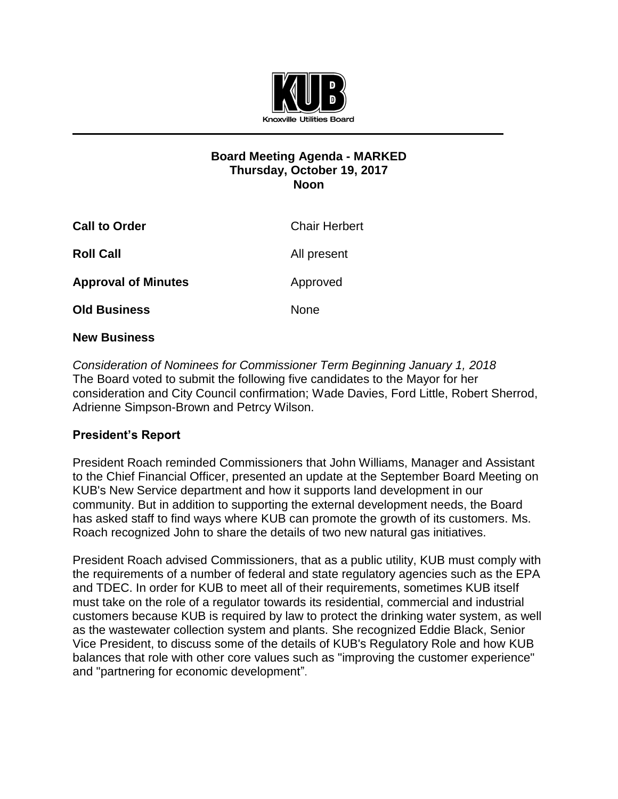

## **Board Meeting Agenda - MARKED Thursday, October 19, 2017 Noon**

| <b>Call to Order</b>       | <b>Chair Herbert</b> |
|----------------------------|----------------------|
| <b>Roll Call</b>           | All present          |
| <b>Approval of Minutes</b> | Approved             |
| <b>Old Business</b>        | <b>None</b>          |

## **New Business**

*Consideration of Nominees for Commissioner Term Beginning January 1, 2018* The Board voted to submit the following five candidates to the Mayor for her consideration and City Council confirmation; Wade Davies, Ford Little, Robert Sherrod, Adrienne Simpson-Brown and Petrcy Wilson.

## **President's Report**

President Roach reminded Commissioners that John Williams, Manager and Assistant to the Chief Financial Officer, presented an update at the September Board Meeting on KUB's New Service department and how it supports land development in our community. But in addition to supporting the external development needs, the Board has asked staff to find ways where KUB can promote the growth of its customers. Ms. Roach recognized John to share the details of two new natural gas initiatives.

President Roach advised Commissioners, that as a public utility, KUB must comply with the requirements of a number of federal and state regulatory agencies such as the EPA and TDEC. In order for KUB to meet all of their requirements, sometimes KUB itself must take on the role of a regulator towards its residential, commercial and industrial customers because KUB is required by law to protect the drinking water system, as well as the wastewater collection system and plants. She recognized Eddie Black, Senior Vice President, to discuss some of the details of KUB's Regulatory Role and how KUB balances that role with other core values such as "improving the customer experience" and "partnering for economic development".